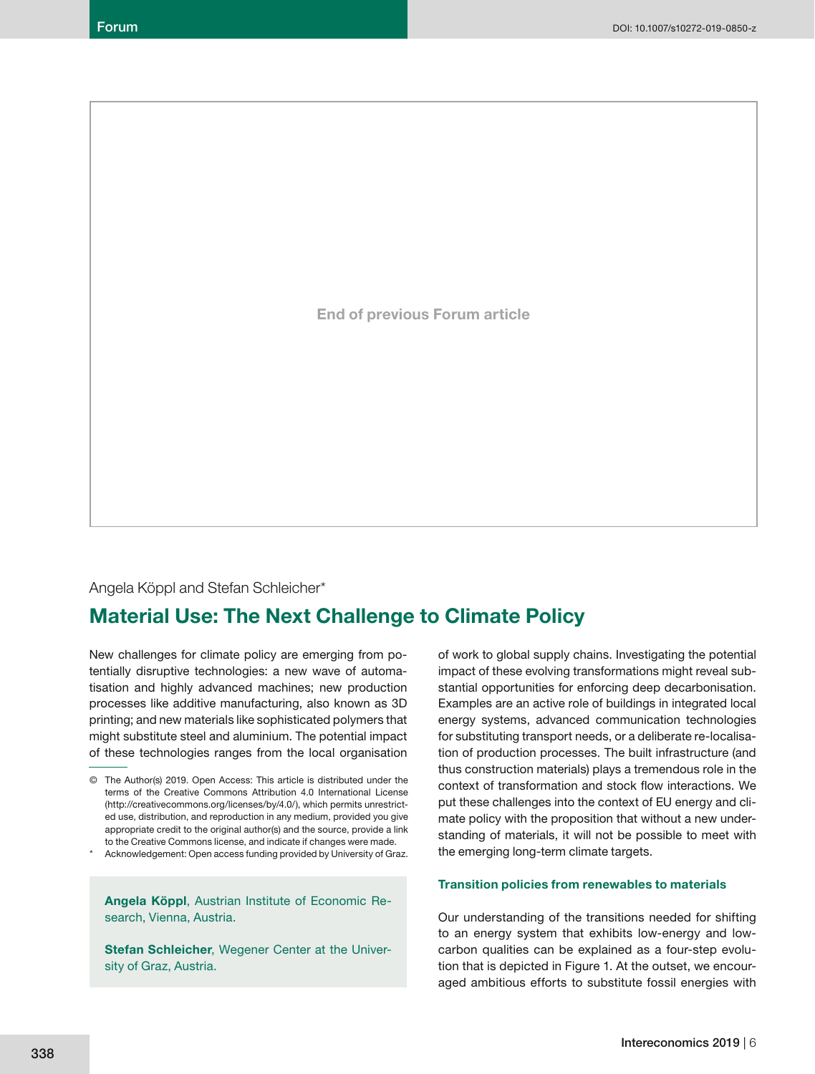**End of previous Forum article**

## Angela Köppl and Stefan Schleicher\*

## **Material Use: The Next Challenge to Climate Policy**

New challenges for climate policy are emerging from potentially disruptive technologies: a new wave of automatisation and highly advanced machines; new production processes like additive manufacturing, also known as 3D printing; and new materials like sophisticated polymers that might substitute steel and aluminium. The potential impact of these technologies ranges from the local organisation

Acknowledgement: Open access funding provided by University of Graz.

**Angela Köppl**, Austrian Institute of Economic Research, Vienna, Austria.

**Stefan Schleicher**, Wegener Center at the University of Graz, Austria.

of work to global supply chains. Investigating the potential impact of these evolving transformations might reveal substantial opportunities for enforcing deep decarbonisation. Examples are an active role of buildings in integrated local energy systems, advanced communication technologies for substituting transport needs, or a deliberate re-localisation of production processes. The built infrastructure (and thus construction materials) plays a tremendous role in the context of transformation and stock flow interactions. We put these challenges into the context of EU energy and climate policy with the proposition that without a new understanding of materials, it will not be possible to meet with the emerging long-term climate targets.

#### **Transition policies from renewables to materials**

Our understanding of the transitions needed for shifting to an energy system that exhibits low-energy and lowcarbon qualities can be explained as a four-step evolution that is depicted in Figure 1. At the outset, we encouraged ambitious efforts to substitute fossil energies with

<sup>©</sup> The Author(s) 2019. Open Access: This article is distributed under the terms of the Creative Commons Attribution 4.0 International License (http://creativecommons.org/licenses/by/4.0/), which permits unrestricted use, distribution, and reproduction in any medium, provided you give appropriate credit to the original author(s) and the source, provide a link to the Creative Commons license, and indicate if changes were made.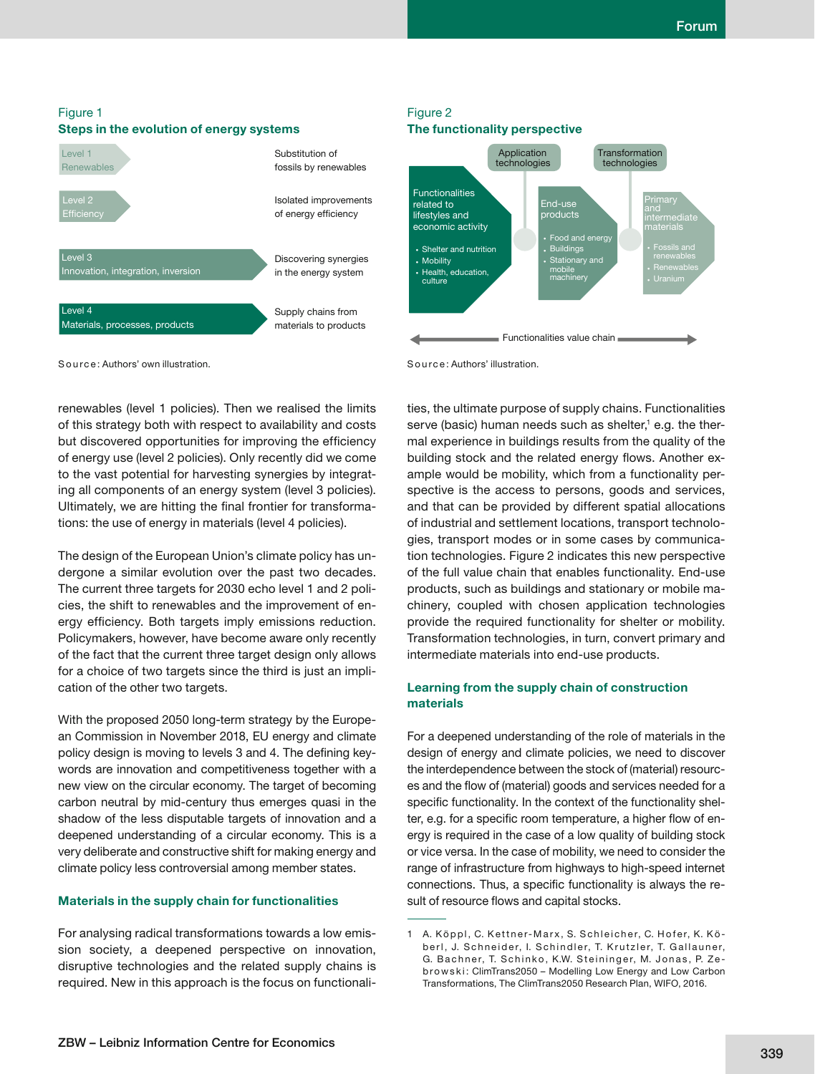

# Figure 2



S o u rc e : Authors' illustration.

renewables (level 1 policies). Then we realised the limits of this strategy both with respect to availability and costs but discovered opportunities for improving the efficiency of energy use (level 2 policies). Only recently did we come to the vast potential for harvesting synergies by integrating all components of an energy system (level 3 policies). Ultimately, we are hitting the final frontier for transforma-

tions: the use of energy in materials (level 4 policies).

The design of the European Union's climate policy has undergone a similar evolution over the past two decades. The current three targets for 2030 echo level 1 and 2 policies, the shift to renewables and the improvement of energy efficiency. Both targets imply emissions reduction. Policymakers, however, have become aware only recently of the fact that the current three target design only allows for a choice of two targets since the third is just an implication of the other two targets.

With the proposed 2050 long-term strategy by the European Commission in November 2018, EU energy and climate policy design is moving to levels 3 and 4. The defining keywords are innovation and competitiveness together with a new view on the circular economy. The target of becoming carbon neutral by mid-century thus emerges quasi in the shadow of the less disputable targets of innovation and a deepened understanding of a circular economy. This is a very deliberate and constructive shift for making energy and climate policy less controversial among member states.

#### **Materials in the supply chain for functionalities**

For analysing radical transformations towards a low emission society, a deepened perspective on innovation, disruptive technologies and the related supply chains is required. New in this approach is the focus on functionalities, the ultimate purpose of supply chains. Functionalities serve (basic) human needs such as shelter,1 e.g. the thermal experience in buildings results from the quality of the building stock and the related energy flows. Another example would be mobility, which from a functionality perspective is the access to persons, goods and services, and that can be provided by different spatial allocations of industrial and settlement locations, transport technologies, transport modes or in some cases by communication technologies. Figure 2 indicates this new perspective of the full value chain that enables functionality. End-use products, such as buildings and stationary or mobile machinery, coupled with chosen application technologies provide the required functionality for shelter or mobility. Transformation technologies, in turn, convert primary and intermediate materials into end-use products.

## **Learning from the supply chain of construction materials**

For a deepened understanding of the role of materials in the design of energy and climate policies, we need to discover the interdependence between the stock of (material) resources and the flow of (material) goods and services needed for a specific functionality. In the context of the functionality shelter, e.g. for a specific room temperature, a higher flow of energy is required in the case of a low quality of building stock or vice versa. In the case of mobility, we need to consider the range of infrastructure from highways to high-speed internet connections. Thus, a specific functionality is always the result of resource flows and capital stocks.

<sup>1</sup> A. Köppl, C. Kettner-Marx, S. Schleicher, C. Hofer, K. Köberl, J. Schneider, I. Schindler, T. Krutzler, T. Gallauner, G. Bachner, T. Schinko, K.W. Steininger, M. Jonas, P. Zeb ro w s k i : ClimTrans2050 – Modelling Low Energy and Low Carbon Transformations, The ClimTrans2050 Research Plan, WIFO, 2016.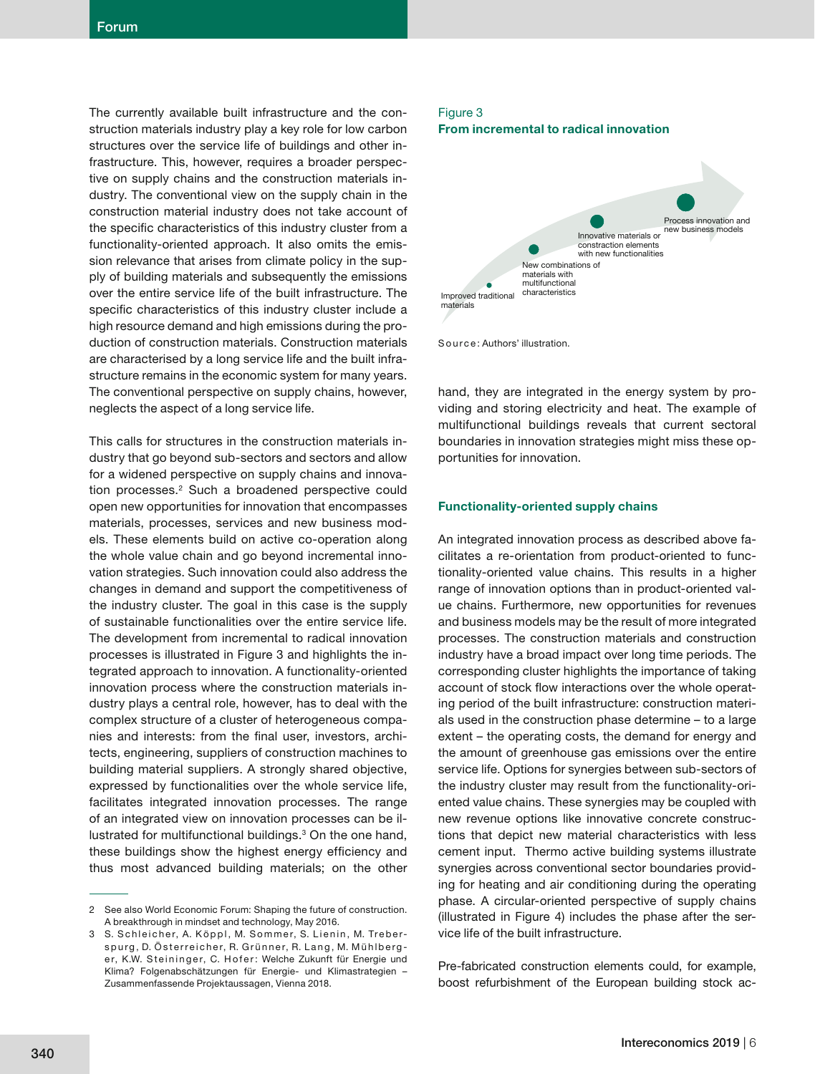The currently available built infrastructure and the construction materials industry play a key role for low carbon structures over the service life of buildings and other infrastructure. This, however, requires a broader perspective on supply chains and the construction materials industry. The conventional view on the supply chain in the construction material industry does not take account of the specific characteristics of this industry cluster from a functionality-oriented approach. It also omits the emission relevance that arises from climate policy in the supply of building materials and subsequently the emissions over the entire service life of the built infrastructure. The specific characteristics of this industry cluster include a high resource demand and high emissions during the production of construction materials. Construction materials are characterised by a long service life and the built infrastructure remains in the economic system for many years. The conventional perspective on supply chains, however, neglects the aspect of a long service life.

This calls for structures in the construction materials industry that go beyond sub-sectors and sectors and allow for a widened perspective on supply chains and innovation processes.<sup>2</sup> Such a broadened perspective could open new opportunities for innovation that encompasses materials, processes, services and new business models. These elements build on active co-operation along the whole value chain and go beyond incremental innovation strategies. Such innovation could also address the changes in demand and support the competitiveness of the industry cluster. The goal in this case is the supply of sustainable functionalities over the entire service life. The development from incremental to radical innovation processes is illustrated in Figure 3 and highlights the integrated approach to innovation. A functionality-oriented innovation process where the construction materials industry plays a central role, however, has to deal with the complex structure of a cluster of heterogeneous companies and interests: from the final user, investors, architects, engineering, suppliers of construction machines to building material suppliers. A strongly shared objective, expressed by functionalities over the whole service life, facilitates integrated innovation processes. The range of an integrated view on innovation processes can be illustrated for multifunctional buildings.3 On the one hand, these buildings show the highest energy efficiency and thus most advanced building materials; on the other

## Figure 3 **From incremental to radical innovation**





hand, they are integrated in the energy system by providing and storing electricity and heat. The example of multifunctional buildings reveals that current sectoral boundaries in innovation strategies might miss these opportunities for innovation.

#### **Functionality-oriented supply chains**

An integrated innovation process as described above facilitates a re-orientation from product-oriented to functionality-oriented value chains. This results in a higher range of innovation options than in product-oriented value chains. Furthermore, new opportunities for revenues and business models may be the result of more integrated processes. The construction materials and construction industry have a broad impact over long time periods. The corresponding cluster highlights the importance of taking account of stock flow interactions over the whole operating period of the built infrastructure: construction materials used in the construction phase determine – to a large extent – the operating costs, the demand for energy and the amount of greenhouse gas emissions over the entire service life. Options for synergies between sub-sectors of the industry cluster may result from the functionality-oriented value chains. These synergies may be coupled with new revenue options like innovative concrete constructions that depict new material characteristics with less cement input. Thermo active building systems illustrate synergies across conventional sector boundaries providing for heating and air conditioning during the operating phase. A circular-oriented perspective of supply chains (illustrated in Figure 4) includes the phase after the service life of the built infrastructure.

Pre-fabricated construction elements could, for example, boost refurbishment of the European building stock ac-

<sup>2</sup> See also World Economic Forum: Shaping the future of construction. A breakthrough in mindset and technology, May 2016.

<sup>3</sup> S. Schleicher, A. Köppl, M. Sommer, S. Lienin, M. Treberspurg, D. Österreicher, R. Grünner, R. Lang, M. Mühlberger, K.W. Steininger, C. Hofer: Welche Zukunft für Energie und Klima? Folgenabschätzungen für Energie- und Klimastrategien – Zusammenfassende Projektaussagen, Vienna 2018.